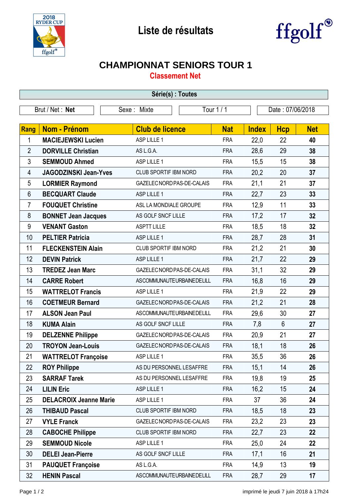



## **CHAMPIONNAT SENIORS TOUR 1**

**Classement Net**

| Série(s) : Toutes |                               |                            |            |              |                  |            |  |  |  |  |
|-------------------|-------------------------------|----------------------------|------------|--------------|------------------|------------|--|--|--|--|
| Brut / Net: Net   |                               | Sexe: Mixte                | Tour 1 / 1 |              | Date: 07/06/2018 |            |  |  |  |  |
|                   |                               |                            |            |              |                  |            |  |  |  |  |
| <b>Rang</b>       | <b>Nom - Prénom</b>           | <b>Club de licence</b>     | <b>Nat</b> | <b>Index</b> | <b>Hcp</b>       | <b>Net</b> |  |  |  |  |
| 1                 | <b>MACIEJEWSKI Lucien</b>     | ASP LILLE 1                | <b>FRA</b> | 22,0         | 22               | 40         |  |  |  |  |
| 2                 | <b>DORVILLE Christian</b>     | AS L.G.A.                  | <b>FRA</b> | 28,6         | 29               | 38         |  |  |  |  |
| 3                 | <b>SEMMOUD Ahmed</b>          | ASP LILLE 1                | <b>FRA</b> | 15,5         | 15               | 38         |  |  |  |  |
| 4                 | <b>JAGODZINSKI Jean-Yves</b>  | CLUB SPORTIF IBM NORD      | <b>FRA</b> | 20,2         | 20               | 37         |  |  |  |  |
| 5                 | <b>LORMIER Raymond</b>        | GAZELEC NORD PAS-DE-CALAIS | <b>FRA</b> | 21,1         | 21               | 37         |  |  |  |  |
| 6                 | <b>BECQUART Claude</b>        | ASP LILLE 1                | <b>FRA</b> | 22,7         | 23               | 33         |  |  |  |  |
| $\overline{7}$    | <b>FOUQUET Christine</b>      | ASL LA MONDIALE GROUPE     | <b>FRA</b> | 12,9         | 11               | 33         |  |  |  |  |
| 8                 | <b>BONNET Jean Jacques</b>    | AS GOLF SNCF LILLE         | <b>FRA</b> | 17,2         | 17               | 32         |  |  |  |  |
| 9                 | <b>VENANT Gaston</b>          | <b>ASPTT LILLE</b>         | <b>FRA</b> | 18,5         | 18               | 32         |  |  |  |  |
| 10                | <b>PELTIER Patricia</b>       | ASP LILLE 1                | <b>FRA</b> | 28,7         | 28               | 31         |  |  |  |  |
| 11                | <b>FLECKENSTEIN Alain</b>     | CLUB SPORTIF IBM NORD      | <b>FRA</b> | 21,2         | 21               | 30         |  |  |  |  |
| 12                | <b>DEVIN Patrick</b>          | ASP LILLE 1                | <b>FRA</b> | 21,7         | 22               | 29         |  |  |  |  |
| 13                | <b>TREDEZ Jean Marc</b>       | GAZELEC NORD PAS-DE-CALAIS | <b>FRA</b> | 31,1         | 32               | 29         |  |  |  |  |
| 14                | <b>CARRE Robert</b>           | ASCOMMUNAUTEURBAINEDELILL  | <b>FRA</b> | 16,8         | 16               | 29         |  |  |  |  |
| 15                | <b>WATTRELOT Francis</b>      | ASP LILLE 1                | <b>FRA</b> | 21,9         | 22               | 29         |  |  |  |  |
| 16                | <b>COETMEUR Bernard</b>       | GAZELEC NORD PAS-DE-CALAIS | <b>FRA</b> | 21,2         | 21               | 28         |  |  |  |  |
| 17                | <b>ALSON Jean Paul</b>        | ASCOMMUNAUTEURBAINEDELILL  | <b>FRA</b> | 29,6         | 30               | 27         |  |  |  |  |
| 18                | <b>KUMA Alain</b>             | AS GOLF SNCF LILLE         | <b>FRA</b> | 7,8          | $6\phantom{1}$   | 27         |  |  |  |  |
| 19                | <b>DELZENNE Philippe</b>      | GAZELEC NORD PAS-DE-CALAIS | <b>FRA</b> | 20,9         | 21               | 27         |  |  |  |  |
| 20                | <b>TROYON Jean-Louis</b>      | GAZELEC NORD PAS-DE-CALAIS | <b>FRA</b> | 18,1         | 18               | 26         |  |  |  |  |
| 21                | <b>WATTRELOT Françoise</b>    | ASP LILLE 1                | <b>FRA</b> | 35,5         | 36               | 26         |  |  |  |  |
| 22                | <b>ROY Philippe</b>           | AS DU PERSONNEL LESAFFRE   | <b>FRA</b> | 15,1         | 14               | 26         |  |  |  |  |
| 23                | <b>SARRAF Tarek</b>           | AS DU PERSONNEL LESAFFRE   | <b>FRA</b> | 19,8         | 19               | 25         |  |  |  |  |
| 24                | <b>LILIN Eric</b>             | ASP LILLE 1                | <b>FRA</b> | 16,2         | 15               | 24         |  |  |  |  |
| 25                | <b>DELACROIX Jeanne Marie</b> | ASP LILLE 1                | <b>FRA</b> | 37           | 36               | 24         |  |  |  |  |
| 26                | <b>THIBAUD Pascal</b>         | CLUB SPORTIF IBM NORD      | <b>FRA</b> | 18,5         | 18               | 23         |  |  |  |  |
| 27                | <b>VYLE Franck</b>            | GAZELEC NORD PAS-DE-CALAIS | <b>FRA</b> | 23,2         | 23               | 23         |  |  |  |  |
| 28                | <b>CABOCHE Philippe</b>       | CLUB SPORTIF IBM NORD      | <b>FRA</b> | 22,7         | 23               | 22         |  |  |  |  |
| 29                | <b>SEMMOUD Nicole</b>         | ASP LILLE 1                | <b>FRA</b> | 25,0         | 24               | 22         |  |  |  |  |
| 30                | <b>DELEI Jean-Pierre</b>      | AS GOLF SNCF LILLE         | <b>FRA</b> | 17,1         | 16               | 21         |  |  |  |  |
| 31                | <b>PAUQUET Françoise</b>      | AS L.G.A.                  | <b>FRA</b> | 14,9         | 13               | 19         |  |  |  |  |
| 32                | <b>HENIN Pascal</b>           | ASCOMMUNAUTEURBAINEDELILL  | <b>FRA</b> | 28,7         | 29               | 17         |  |  |  |  |